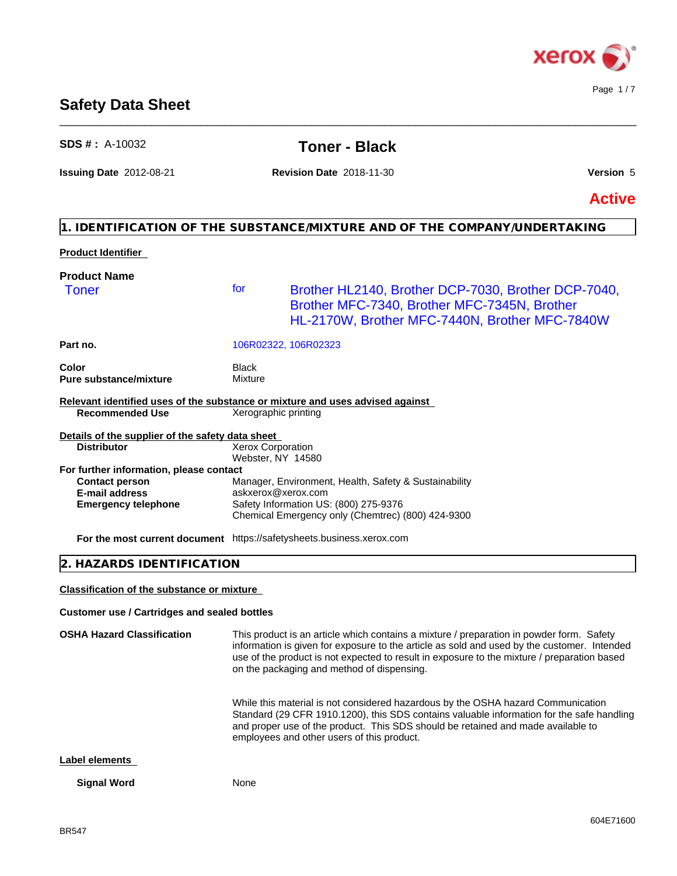

# **Safety Data Sheet**

| $SDS # : A-10032$                                                                                                |                                               | <b>Toner - Black</b>                                                                                                                                                                                                                                                                                                                 |               |
|------------------------------------------------------------------------------------------------------------------|-----------------------------------------------|--------------------------------------------------------------------------------------------------------------------------------------------------------------------------------------------------------------------------------------------------------------------------------------------------------------------------------------|---------------|
| <b>Issuing Date 2012-08-21</b>                                                                                   |                                               | <b>Revision Date 2018-11-30</b>                                                                                                                                                                                                                                                                                                      | Version 5     |
|                                                                                                                  |                                               |                                                                                                                                                                                                                                                                                                                                      | <b>Active</b> |
|                                                                                                                  |                                               | 1. IDENTIFICATION OF THE SUBSTANCE/MIXTURE AND OF THE COMPANY/UNDERTAKING                                                                                                                                                                                                                                                            |               |
| <b>Product Identifier</b>                                                                                        |                                               |                                                                                                                                                                                                                                                                                                                                      |               |
| <b>Product Name</b>                                                                                              |                                               |                                                                                                                                                                                                                                                                                                                                      |               |
| <b>Toner</b>                                                                                                     | for                                           | Brother HL2140, Brother DCP-7030, Brother DCP-7040,<br>Brother MFC-7340, Brother MFC-7345N, Brother<br>HL-2170W, Brother MFC-7440N, Brother MFC-7840W                                                                                                                                                                                |               |
| Part no.                                                                                                         |                                               | 106R02322, 106R02323                                                                                                                                                                                                                                                                                                                 |               |
| Color<br>Pure substance/mixture                                                                                  | <b>Black</b><br>Mixture                       |                                                                                                                                                                                                                                                                                                                                      |               |
| Relevant identified uses of the substance or mixture and uses advised against<br><b>Recommended Use</b>          | Xerographic printing                          |                                                                                                                                                                                                                                                                                                                                      |               |
| Details of the supplier of the safety data sheet<br><b>Distributor</b>                                           | <b>Xerox Corporation</b><br>Webster, NY 14580 |                                                                                                                                                                                                                                                                                                                                      |               |
| For further information, please contact<br><b>Contact person</b><br>E-mail address<br><b>Emergency telephone</b> | askxerox@xerox.com                            | Manager, Environment, Health, Safety & Sustainability<br>Safety Information US: (800) 275-9376<br>Chemical Emergency only (Chemtrec) (800) 424-9300                                                                                                                                                                                  |               |
| For the most current document https://safetysheets.business.xerox.com                                            |                                               |                                                                                                                                                                                                                                                                                                                                      |               |
| HAZARDS IDENTIFICATION                                                                                           |                                               |                                                                                                                                                                                                                                                                                                                                      |               |
| <b>Classification of the substance or mixture</b>                                                                |                                               |                                                                                                                                                                                                                                                                                                                                      |               |
| <b>Customer use / Cartridges and sealed bottles</b>                                                              |                                               |                                                                                                                                                                                                                                                                                                                                      |               |
| <b>OSHA Hazard Classification</b>                                                                                |                                               | This product is an article which contains a mixture / preparation in powder form. Safety<br>information is given for exposure to the article as sold and used by the customer. Intended<br>use of the product is not expected to result in exposure to the mixture / preparation based<br>on the packaging and method of dispensing. |               |
|                                                                                                                  |                                               | While this material is not considered hazardous by the OSHA hazard Communication<br>Standard (29 CFR 1910.1200), this SDS contains valuable information for the safe handling<br>and proper use of the product. This SDS should be retained and made available to<br>employees and other users of this product.                      |               |

\_\_\_\_\_\_\_\_\_\_\_\_\_\_\_\_\_\_\_\_\_\_\_\_\_\_\_\_\_\_\_\_\_\_\_\_\_\_\_\_\_\_\_\_\_\_\_\_\_\_\_\_\_\_\_\_\_\_\_\_\_\_\_\_\_\_\_\_\_\_\_\_\_\_\_\_\_\_\_\_\_\_\_\_\_\_\_\_\_\_\_\_\_\_

**Label elements**

**Signal Word** None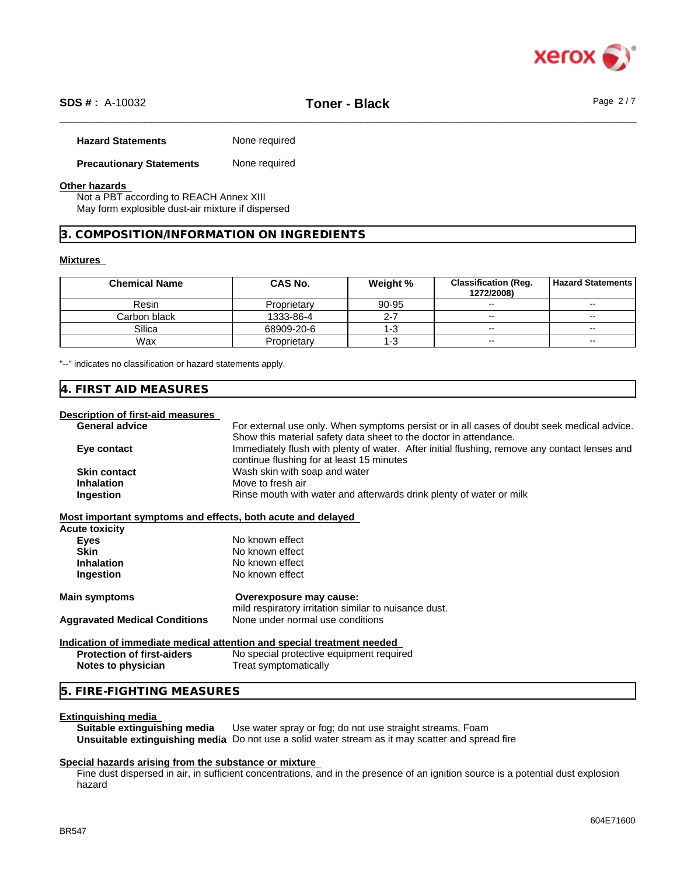

# \_\_\_\_\_\_\_\_\_\_\_\_\_\_\_\_\_\_\_\_\_\_\_\_\_\_\_\_\_\_\_\_\_\_\_\_\_\_\_\_\_\_\_\_\_\_\_\_\_\_\_\_\_\_\_\_\_\_\_\_\_\_\_\_\_\_\_\_\_\_\_\_\_\_\_\_\_\_\_\_\_\_\_\_\_\_\_\_\_\_\_\_\_\_ **SDS # :** A-10032 **Toner - Black** Page 2 / 7

|  | <b>Hazard Statements</b> | None required |
|--|--------------------------|---------------|
|--|--------------------------|---------------|

#### **Precautionary Statements** None required

#### **Other hazards**

Not a PBT according to REACH Annex XIII May form explosible dust-air mixture if dispersed

#### **3. COMPOSITION/INFORMATION ON INGREDIENTS**

#### **Mixtures**

| <b>Chemical Name</b> | <b>CAS No.</b> | Weight % | <b>Classification (Reg.</b><br>1272/2008) | <b>Hazard Statements</b> |
|----------------------|----------------|----------|-------------------------------------------|--------------------------|
| Resin                | Proprietary    | 90-95    | $\overline{\phantom{a}}$                  | $\sim$                   |
| Carbon black         | 1333-86-4      | 2-7      | $\overline{\phantom{a}}$                  | $\sim$ $\sim$            |
| Silica               | 68909-20-6     | l-3      | $\overline{\phantom{a}}$                  | $\overline{\phantom{a}}$ |
| Wax                  | Proprietary    | l-3      | $\sim$ $\sim$                             | $\sim$ $\sim$            |

"--" indicates no classification or hazard statements apply.

#### **4. FIRST AID MEASURES**

### **Description of first-aid measures**

| Description or in st-ald measures                           |                                                                                               |
|-------------------------------------------------------------|-----------------------------------------------------------------------------------------------|
| <b>General advice</b>                                       | For external use only. When symptoms persist or in all cases of doubt seek medical advice.    |
|                                                             | Show this material safety data sheet to the doctor in attendance.                             |
| Eye contact                                                 | Immediately flush with plenty of water. After initial flushing, remove any contact lenses and |
|                                                             | continue flushing for at least 15 minutes                                                     |
| <b>Skin contact</b>                                         | Wash skin with soap and water                                                                 |
| <b>Inhalation</b>                                           | Move to fresh air                                                                             |
| Ingestion                                                   | Rinse mouth with water and afterwards drink plenty of water or milk                           |
|                                                             |                                                                                               |
| Most important symptoms and effects, both acute and delayed |                                                                                               |
| Acute toxicity                                              |                                                                                               |
| <b>Eyes</b>                                                 | No known effect                                                                               |
| <b>Skin</b>                                                 | No known effect                                                                               |
| <b>Inhalation</b>                                           | No known effect                                                                               |
| Ingestion                                                   | No known effect                                                                               |
| <b>Main symptoms</b>                                        | Overexposure may cause:                                                                       |
|                                                             | mild respiratory irritation similar to nuisance dust.                                         |
| <b>Aggravated Medical Conditions</b>                        | None under normal use conditions                                                              |
|                                                             |                                                                                               |
|                                                             | Indication of immediate medical attention and special treatment needed                        |
| <b>Protection of first-aiders</b>                           | No special protective equipment required                                                      |
| Notes to physician                                          | Treat symptomatically                                                                         |
|                                                             |                                                                                               |

# **5. FIRE-FIGHTING MEASURES**

#### **Extinguishing media**

**Suitable extinguishing media** Use water spray or fog; do not use straight streams, Foam **Unsuitable extinguishing media** Do not use a solid water stream as it may scatterand spread fire

#### **Special hazards arising from the substance or mixture**

Fine dust dispersed in air, in sufficient concentrations, and in the presence of an ignition source is a potential dust explosion hazard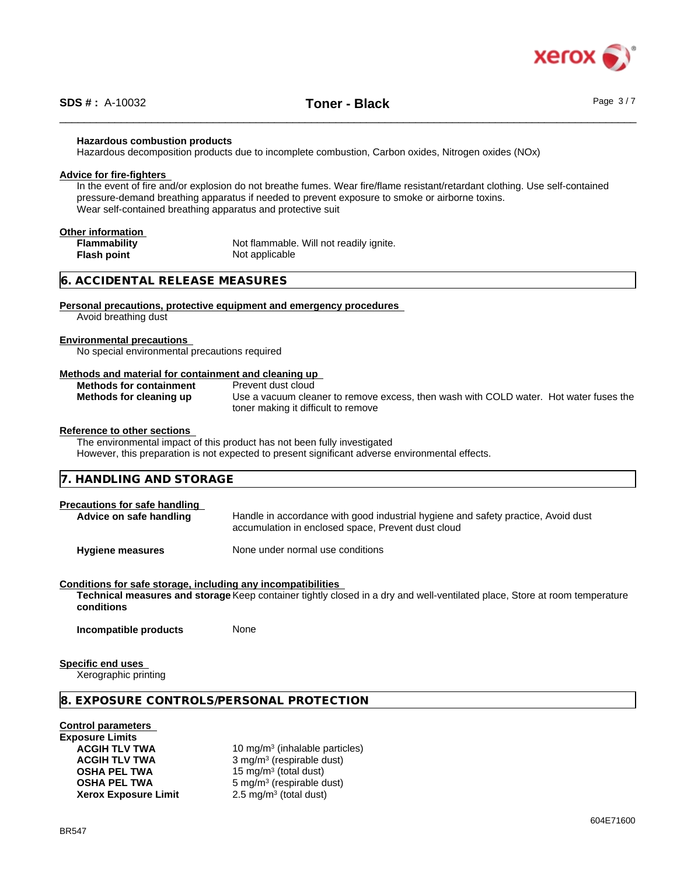

#### **Hazardous combustion products**

Hazardous decomposition products due to incomplete combustion, Carbon oxides, Nitrogen oxides (NOx)

#### **Advice for fire-fighters**

In the event of fire and/or explosion do not breathe fumes. Wear fire/flame resistant/retardant clothing. Use self-contained pressure-demand breathing apparatus if needed to prevent exposure to smoke or airborne toxins. Wear self-contained breathing apparatus and protective suit

# **Other information**

**Flash point** Not applicable

**Flammability** Not flammable. Will not readily ignite.

### **6. ACCIDENTAL RELEASE MEASURES**

#### **Personal precautions, protective equipment and emergency procedures**

Avoid breathing dust

#### **Environmental precautions**

No special environmental precautions required

#### **Methods and material for containment and cleaning up**

| <b>Methods for containment</b> | Prevent dust cloud                                                                    |
|--------------------------------|---------------------------------------------------------------------------------------|
| Methods for cleaning up        | Use a vacuum cleaner to remove excess, then wash with COLD water. Hot water fuses the |
|                                | toner making it difficult to remove                                                   |

#### **Reference to other sections**

The environmental impact of this product has not been fully investigated However, this preparation is not expected to present significant adverse environmental effects.

# **7. HANDLING AND STORAGE**

# **Precautions for safe handling** Advice on safe handling **Handle** in accordance with good industrial hygiene and safety practice, Avoid dust accumulation in enclosed space, Prevent dust cloud

**Hygiene measures** None under normal use conditions

#### **Conditions for safe storage, including any incompatibilities**

**Technical measures and storage** Keep container tightly closed in a dry and well-ventilated place, Store at room temperature **conditions**

**Incompatible products** None

#### **Specific end uses**

Xerographic printing

#### **8. EXPOSURE CONTROLS/PERSONAL PROTECTION**

#### **Control parameters**

**Exposure Limits Xerox Exposure Limit** 

**ACGIH TLV TWA** 10 mg/m<sup>3</sup> (inhalable particles) **ACGIH TLV TWA** 3 mg/m<sup>3</sup> (respirable dust) **OSHA PEL TWA** 15 mg/m<sup>3</sup> (total dust) **OSHA PEL TWA** 5 mg/m<sup>3</sup> (respirable dust)  $2.5 \text{ mg/m}^3$  (total dust)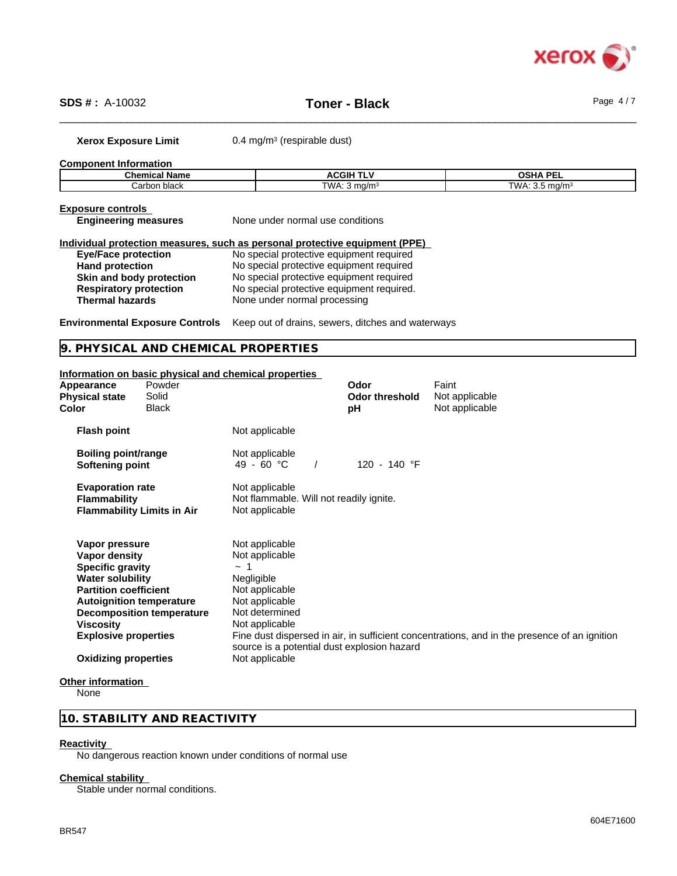

\_\_\_\_\_\_\_\_\_\_\_\_\_\_\_\_\_\_\_\_\_\_\_\_\_\_\_\_\_\_\_\_\_\_\_\_\_\_\_\_\_\_\_\_\_\_\_\_\_\_\_\_\_\_\_\_\_\_\_\_\_\_\_\_\_\_\_\_\_\_\_\_\_\_\_\_\_\_\_\_\_\_\_\_\_\_\_\_\_\_\_\_\_\_ **SDS # :** A-10032 **Toner - Black** Page 4 / 7

**Xerox Exposure Limit** 0.4 mg/m<sup>3</sup> (respirable dust)

**Component Information**

| Chemica. | . .  | <b>OCUA DEL</b> |
|----------|------|-----------------|
| Name     | CGII | лғ              |
| າ black  | ٦MΔ. | Γ\Λ/Δ           |
| ∴arbon   | ma/m | n/m             |

|--|

**Engineering measures** None under normal use conditions

|                               | Individual protection measures, such as personal protective equipment (PPE) |
|-------------------------------|-----------------------------------------------------------------------------|
| <b>Eye/Face protection</b>    | No special protective equipment required                                    |
| <b>Hand protection</b>        | No special protective equipment required                                    |
| Skin and body protection      | No special protective equipment required                                    |
| <b>Respiratory protection</b> | No special protective equipment required.                                   |
| <b>Thermal hazards</b>        | None under normal processing                                                |

**Environmental Exposure Controls** Keep out of drains, sewers, ditches and waterways

**9. PHYSICAL AND CHEMICAL PROPERTIES**

#### **Information on basic physical and chemical properties**

| Appearance<br><b>Physical state</b><br>Color                                                                                                                                                         | Powder<br>Solid<br><b>Black</b>   |                                                                                                                                                                              | Odor<br><b>Odor threshold</b><br>рH | Faint<br>Not applicable<br>Not applicable                                                    |
|------------------------------------------------------------------------------------------------------------------------------------------------------------------------------------------------------|-----------------------------------|------------------------------------------------------------------------------------------------------------------------------------------------------------------------------|-------------------------------------|----------------------------------------------------------------------------------------------|
| <b>Flash point</b>                                                                                                                                                                                   |                                   | Not applicable                                                                                                                                                               |                                     |                                                                                              |
| <b>Boiling point/range</b><br>Softening point                                                                                                                                                        |                                   | Not applicable<br>49 - 60 °C                                                                                                                                                 | 120 - 140 °F                        |                                                                                              |
| <b>Evaporation rate</b><br><b>Flammability</b>                                                                                                                                                       | <b>Flammability Limits in Air</b> | Not applicable<br>Not flammable. Will not readily ignite.<br>Not applicable                                                                                                  |                                     |                                                                                              |
| Vapor pressure<br>Vapor density<br><b>Specific gravity</b><br><b>Water solubility</b><br><b>Partition coefficient</b><br><b>Autoignition temperature</b><br>Viscosity<br><b>Explosive properties</b> | <b>Decomposition temperature</b>  | Not applicable<br>Not applicable<br>~ 1<br>Negligible<br>Not applicable<br>Not applicable<br>Not determined<br>Not applicable<br>source is a potential dust explosion hazard |                                     | Fine dust dispersed in air, in sufficient concentrations, and in the presence of an ignition |
| <b>Oxidizing properties</b>                                                                                                                                                                          |                                   | Not applicable                                                                                                                                                               |                                     |                                                                                              |
|                                                                                                                                                                                                      |                                   |                                                                                                                                                                              |                                     |                                                                                              |

#### **Other information**

**None** 

## **10. STABILITY AND REACTIVITY**

#### **Reactivity**

No dangerous reaction known under conditions of normal use

#### **Chemical stability**

Stable under normal conditions.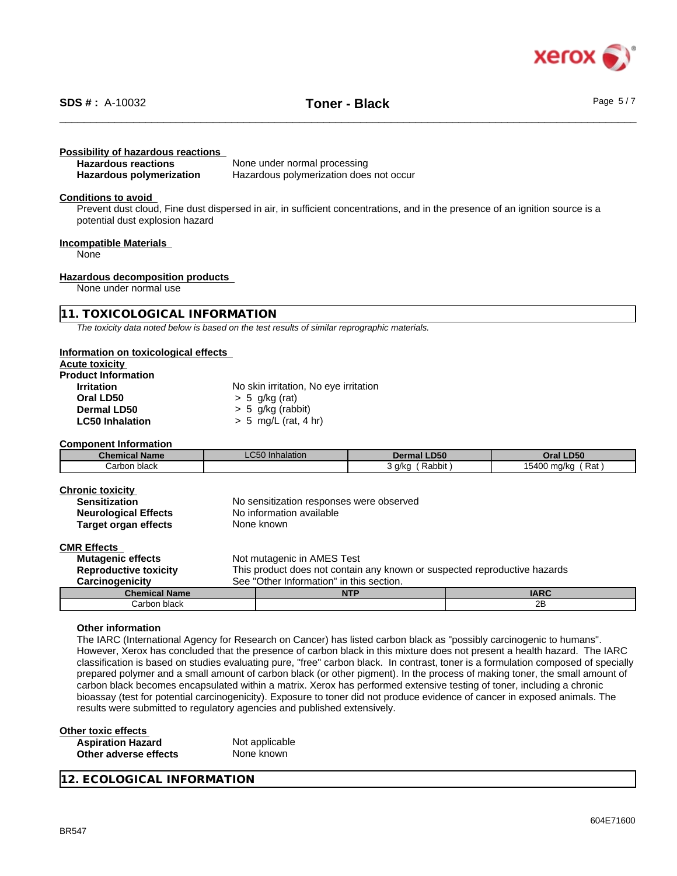

# \_\_\_\_\_\_\_\_\_\_\_\_\_\_\_\_\_\_\_\_\_\_\_\_\_\_\_\_\_\_\_\_\_\_\_\_\_\_\_\_\_\_\_\_\_\_\_\_\_\_\_\_\_\_\_\_\_\_\_\_\_\_\_\_\_\_\_\_\_\_\_\_\_\_\_\_\_\_\_\_\_\_\_\_\_\_\_\_\_\_\_\_\_\_ **SDS # :** A-10032 **Toner - Black** Page 5 / 7

#### **Possibility of hazardous reactions**

| <b>Hazardous reactions</b> | None under normal processing            |
|----------------------------|-----------------------------------------|
| Hazardous polymerization   | Hazardous polymerization does not occur |

#### **Conditions to avoid**

Prevent dust cloud, Fine dust dispersed in air, in sufficient concentrations, and in the presence of an ignition source is a potential dust explosion hazard

#### **Incompatible Materials**

None

#### **Hazardous decomposition products**

None under normal use

#### **11. TOXICOLOGICAL INFORMATION**

*The toxicity data noted below is based on the test results of similar reprographic materials.*

#### **Information on toxicological effects**

| <b>Acute toxicity</b> |  |
|-----------------------|--|
|                       |  |

| <b>Product Information</b> |                                       |
|----------------------------|---------------------------------------|
| <b>Irritation</b>          | No skin irritation, No eye irritation |
| Oral LD50                  | $> 5$ q/kg (rat)                      |
| Dermal LD50                | $> 5$ g/kg (rabbit)                   |
| <b>LC50 Inhalation</b>     | $> 5$ mg/L (rat, 4 hr)                |
|                            |                                       |

**Component Information**

| <b>Chemical Name</b> | $\sim$ $\sim$ $\sim$<br>) Inhalation<br>$-0.50$ in $-$ | <b>Dermal LD50</b>  | <b>LD50</b><br>Dral                         |
|----------------------|--------------------------------------------------------|---------------------|---------------------------------------------|
| Carbon<br>n black    |                                                        | Rabbit<br>a/ka<br>. | Rat<br>1.5.00<br>ma/kc<br>15400.<br>$\cdot$ |

| Chronic toxicity     |   |
|----------------------|---|
| <b>Sensitization</b> | N |
| Neurological Effects | N |

**Target organ effects** 

No sensitization responses were observed **Neurological Effects** No information available<br> **Target organ effects** None known

#### **CMR Effects**

| UMIN LIIVUW                  |                                                                           |            |             |
|------------------------------|---------------------------------------------------------------------------|------------|-------------|
| <b>Mutagenic effects</b>     | Not mutagenic in AMES Test                                                |            |             |
| <b>Reproductive toxicity</b> | This product does not contain any known or suspected reproductive hazards |            |             |
| <b>Carcinogenicity</b>       | See "Other Information" in this section.                                  |            |             |
| <b>Chemical Name</b>         |                                                                           | <b>NTP</b> | <b>IARC</b> |
| Carbon black                 |                                                                           |            | 2B          |
|                              |                                                                           |            |             |

#### **Other information**

The IARC (International Agency for Research on Cancer) has listed carbon black as "possibly carcinogenic to humans". However, Xerox has concluded that the presence of carbon black in this mixture does not present a health hazard. The IARC classification is based on studies evaluating pure, "free" carbon black. In contrast, toner is a formulation composed of specially prepared polymer and a small amount of carbon black (or other pigment). In the process of making toner, the small amount of carbon black becomes encapsulated within a matrix. Xerox has performed extensive testing of toner, including a chronic bioassay (test for potential carcinogenicity). Exposure to toner did not produce evidence of cancer in exposed animals. The results were submitted to regulatory agencies and published extensively.

#### **Other toxic effects Aspiration Hazard Not applicable**<br> **Other adverse effects None known Other** adverse effects

**12. ECOLOGICAL INFORMATION**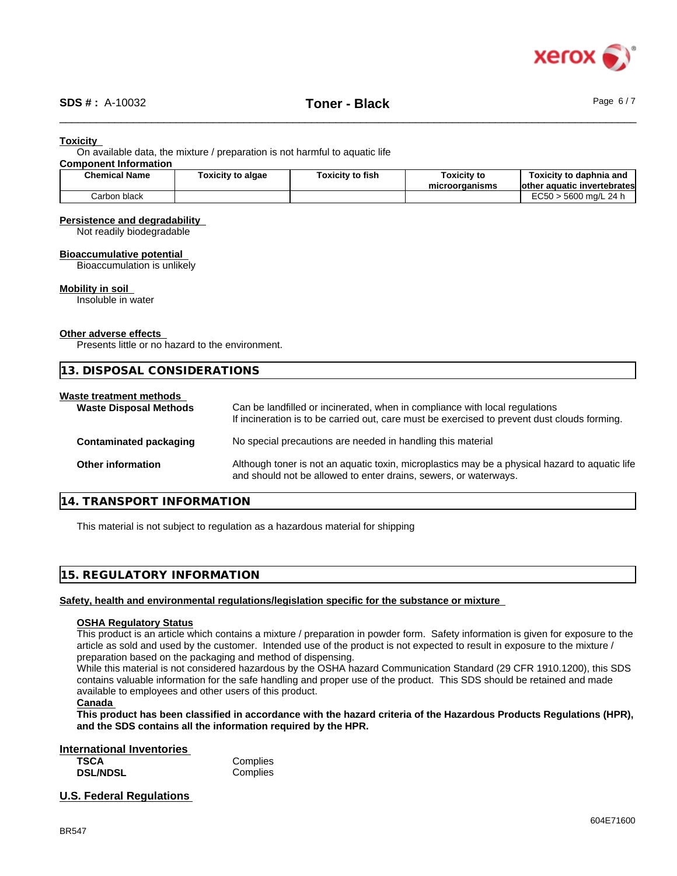

#### **Toxicity**

On available data, the mixture / preparation is not harmful to aquatic life

#### **Component Information**

| <b>Chemical Name</b> | <b>Foxicity to algae</b> | .<br>Γoxicitγ to fish | Toxicity to<br>microorganisms | Toxicitv to daphnia and<br>lother<br>' aquatic invertebratesl |
|----------------------|--------------------------|-----------------------|-------------------------------|---------------------------------------------------------------|
| Carbon black         |                          |                       |                               | <b>EC50</b><br>24 h<br>5600<br>ີ ma/∟⊥                        |

#### **Persistence and degradability**

Not readily biodegradable

# **Bioaccumulative potential**

Bioaccumulation is unlikely

#### **Mobility in soil**

Insoluble in water

#### **Other adverse effects**

Presents little or no hazard to the environment.

|                                                          | 13. DISPOSAL CONSIDERATIONS                                                                                                                                                 |  |  |
|----------------------------------------------------------|-----------------------------------------------------------------------------------------------------------------------------------------------------------------------------|--|--|
| Waste treatment methods<br><b>Waste Disposal Methods</b> | Can be landfilled or incinerated, when in compliance with local regulations<br>If incineration is to be carried out, care must be exercised to prevent dust clouds forming. |  |  |
| Contaminated packaging                                   | No special precautions are needed in handling this material                                                                                                                 |  |  |
| <b>Other information</b>                                 | Although toner is not an aquatic toxin, microplastics may be a physical hazard to aquatic life<br>and should not be allowed to enter drains, sewers, or waterways.          |  |  |

#### **14. TRANSPORT INFORMATION**

This material is not subject to regulation as a hazardous material for shipping

#### **15. REGULATORY INFORMATION**

#### **Safety, health and environmental regulations/legislation specific for the substance or mixture**

#### **OSHA Regulatory Status**

This product is an article which contains a mixture / preparation in powder form. Safety information is given for exposure to the article as sold and used by the customer. Intended use of the product is not expected to result in exposure to the mixture / preparation based on the packaging and method of dispensing.

While this material is not considered hazardous by the OSHA hazard Communication Standard (29 CFR 1910.1200), this SDS contains valuable information for the safe handling and proper use of the product. This SDS should be retained and made available to employees and other users of this product.

#### **Canada**

This product has been classified in accordance with the hazard criteria of the Hazardous Products Regulations (HPR), **and the SDS contains all the information required by the HPR.**

#### **International Inventories**

| <b>TSCA</b>     | Complies |
|-----------------|----------|
| <b>DSL/NDSL</b> | Complies |

#### **U.S. Federal Regulations**